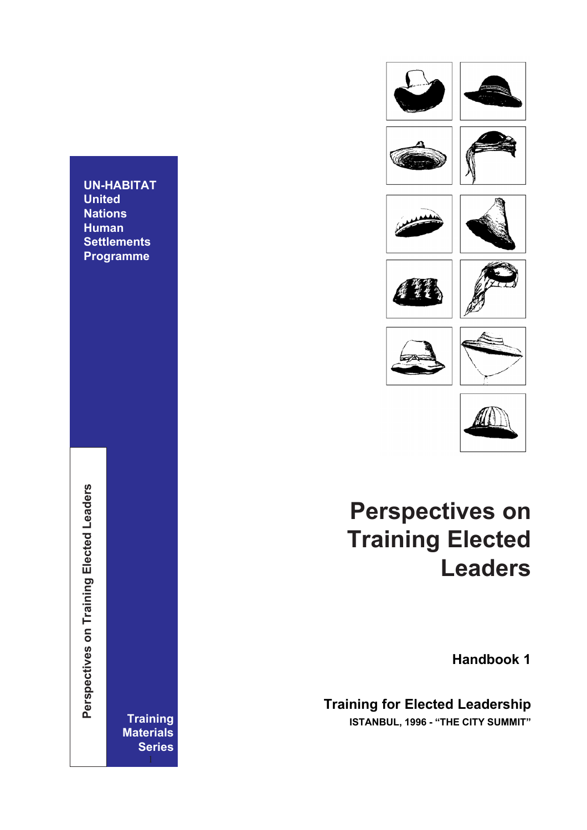

















# **Perspectives on Training Elected Leaders**

**Handbook 1**

**Training for Elected Leadership**

**Training ISTANBUL, 1996 - "THE CITY SUMMIT"**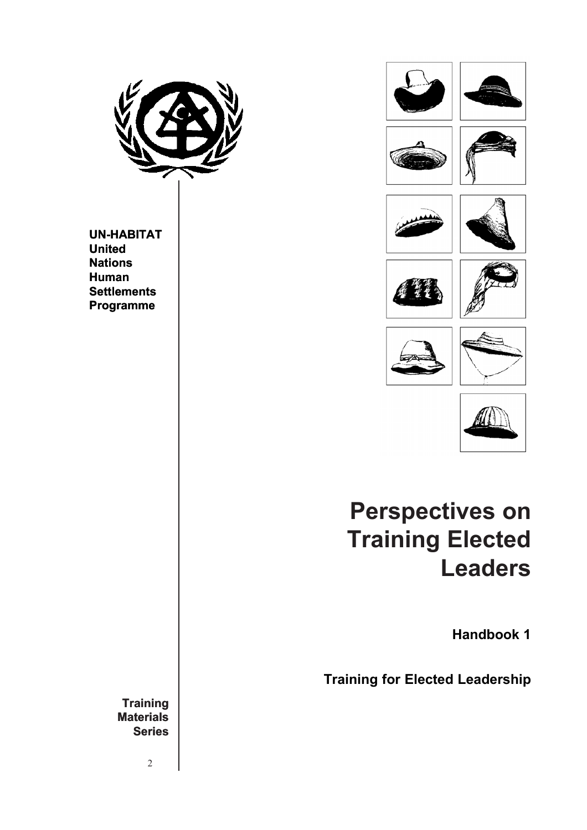

**UN-HABITAT United Nations Human Settlements Programme**





# **Perspectives on Training Elected Leaders**

**Handbook 1**

**Training for Elected Leadership**

**Training Materials Series**

2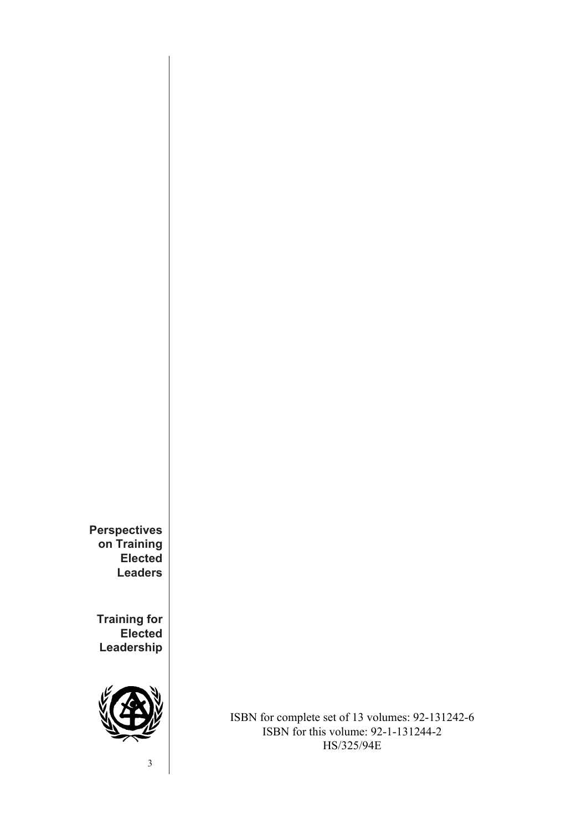**Perspectives on Training Elected Leaders**

**Training for Elected Leadership**



ISBN for complete set of 13 volumes: 92-131242-6 ISBN for this volume: 92-1-131244-2 HS/325/94E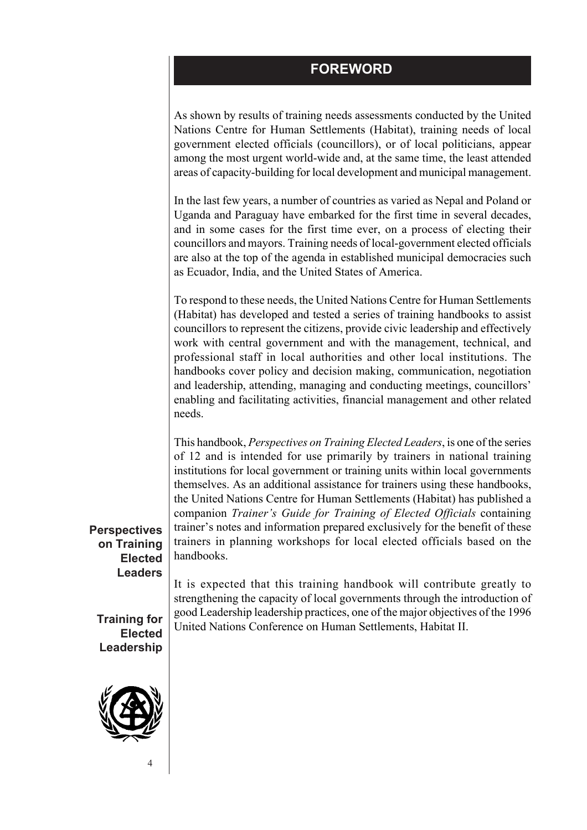### **FOREWORD**

As shown by results of training needs assessments conducted by the United Nations Centre for Human Settlements (Habitat), training needs of local government elected officials (councillors), or of local politicians, appear among the most urgent world-wide and, at the same time, the least attended areas of capacity-building for local development and municipal management.

In the last few years, a number of countries as varied as Nepal and Poland or Uganda and Paraguay have embarked for the first time in several decades, and in some cases for the first time ever, on a process of electing their councillors and mayors. Training needs of local-government elected officials are also at the top of the agenda in established municipal democracies such as Ecuador, India, and the United States of America.

To respond to these needs, the United Nations Centre for Human Settlements (Habitat) has developed and tested a series of training handbooks to assist councillors to represent the citizens, provide civic leadership and effectively work with central government and with the management, technical, and professional staff in local authorities and other local institutions. The handbooks cover policy and decision making, communication, negotiation and leadership, attending, managing and conducting meetings, councillors' enabling and facilitating activities, financial management and other related needs.

This handbook, *Perspectives on Training Elected Leaders*, is one of the series of 12 and is intended for use primarily by trainers in national training institutions for local government or training units within local governments themselves. As an additional assistance for trainers using these handbooks, the United Nations Centre for Human Settlements (Habitat) has published a companion *Trainer's Guide for Training of Elected Officials* containing trainer's notes and information prepared exclusively for the benefit of these trainers in planning workshops for local elected officials based on the handbooks.

**Perspectives on Training Elected Leaders**

**Training for Elected Leadership**



It is expected that this training handbook will contribute greatly to strengthening the capacity of local governments through the introduction of good Leadership leadership practices, one of the major objectives of the 1996 United Nations Conference on Human Settlements, Habitat II.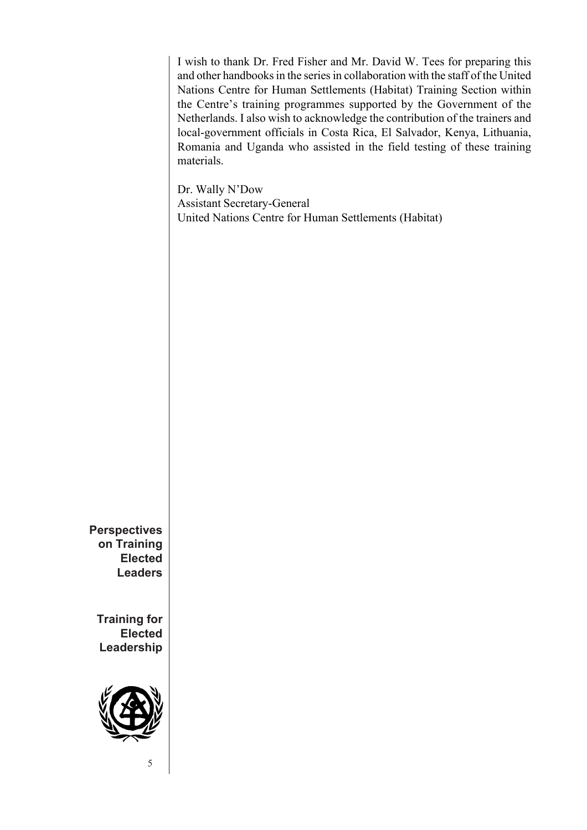I wish to thank Dr. Fred Fisher and Mr. David W. Tees for preparing this and other handbooks in the series in collaboration with the staff of the United Nations Centre for Human Settlements (Habitat) Training Section within the Centre's training programmes supported by the Government of the Netherlands. I also wish to acknowledge the contribution of the trainers and local-government officials in Costa Rica, El Salvador, Kenya, Lithuania, Romania and Uganda who assisted in the field testing of these training materials.

Dr. Wally N'Dow Assistant Secretary-General United Nations Centre for Human Settlements (Habitat)

**Perspectives on Training Elected Leaders**

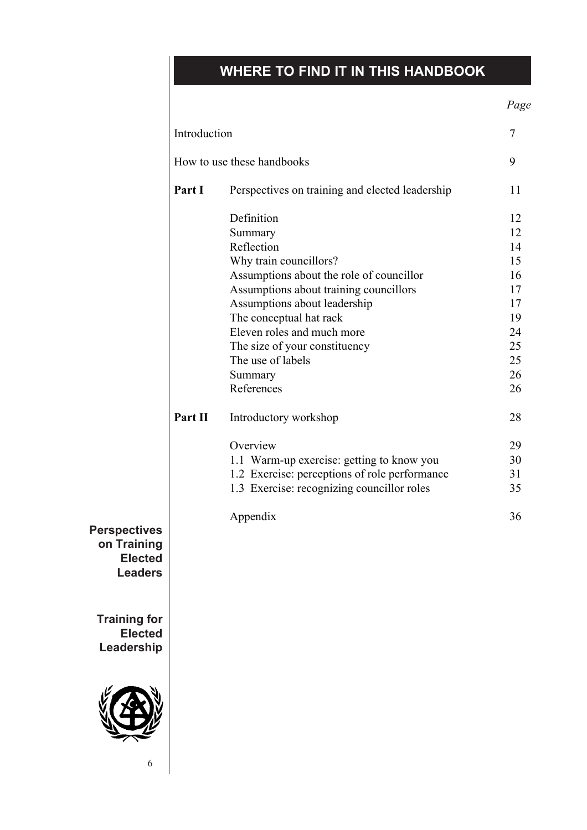# **WHERE TO FIND IT IN THIS HANDBOOK**

|                                                                        |                            |                                                 | Page           |
|------------------------------------------------------------------------|----------------------------|-------------------------------------------------|----------------|
|                                                                        | Introduction               |                                                 | $\overline{7}$ |
|                                                                        | How to use these handbooks |                                                 | 9              |
|                                                                        | Part I                     | Perspectives on training and elected leadership | 11             |
|                                                                        |                            | Definition                                      | 12             |
|                                                                        |                            | Summary                                         | 12             |
|                                                                        |                            | Reflection                                      | 14             |
|                                                                        |                            | Why train councillors?                          | 15             |
|                                                                        |                            | Assumptions about the role of councillor        | 16             |
|                                                                        |                            | Assumptions about training councillors          | 17             |
|                                                                        |                            | Assumptions about leadership                    | 17             |
|                                                                        |                            | The conceptual hat rack                         | 19             |
|                                                                        |                            | Eleven roles and much more                      | 24             |
|                                                                        |                            | The size of your constituency                   | 25             |
|                                                                        |                            | The use of labels                               | 25             |
|                                                                        |                            | Summary                                         | 26             |
|                                                                        |                            | References                                      | 26             |
|                                                                        | Part II                    | Introductory workshop                           | 28             |
|                                                                        |                            | Overview                                        | 29             |
|                                                                        |                            | 1.1 Warm-up exercise: getting to know you       | 30             |
|                                                                        |                            | 1.2 Exercise: perceptions of role performance   | 31             |
|                                                                        |                            | 1.3 Exercise: recognizing councillor roles      | 35             |
|                                                                        |                            | Appendix                                        | 36             |
| <b>Perspectives</b><br>on Training<br><b>Elected</b><br><b>Leaders</b> |                            |                                                 |                |
| <b>Training for</b><br><b>Elected</b><br>Leadership                    |                            |                                                 |                |



6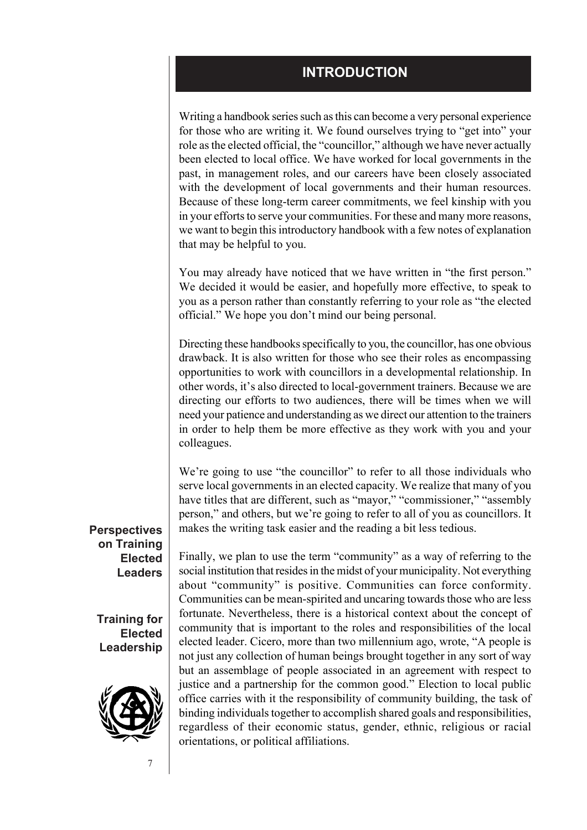#### **INTRODUCTION**

Writing a handbook series such as this can become a very personal experience for those who are writing it. We found ourselves trying to "get into" your role as the elected official, the "councillor," although we have never actually been elected to local office. We have worked for local governments in the past, in management roles, and our careers have been closely associated with the development of local governments and their human resources. Because of these long-term career commitments, we feel kinship with you in your efforts to serve your communities. For these and many more reasons, we want to begin this introductory handbook with a few notes of explanation that may be helpful to you.

You may already have noticed that we have written in "the first person." We decided it would be easier, and hopefully more effective, to speak to you as a person rather than constantly referring to your role as "the elected official." We hope you don't mind our being personal.

Directing these handbooks specifically to you, the councillor, has one obvious drawback. It is also written for those who see their roles as encompassing opportunities to work with councillors in a developmental relationship. In other words, it's also directed to local-government trainers. Because we are directing our efforts to two audiences, there will be times when we will need your patience and understanding as we direct our attention to the trainers in order to help them be more effective as they work with you and your colleagues.

We're going to use "the councillor" to refer to all those individuals who serve local governments in an elected capacity. We realize that many of you have titles that are different, such as "mayor," "commissioner," "assembly person," and others, but we're going to refer to all of you as councillors. It makes the writing task easier and the reading a bit less tedious.

**Perspectives on Training Elected Leaders**

**Training for Elected Leadership**



Finally, we plan to use the term "community" as a way of referring to the social institution that resides in the midst of your municipality. Not everything about "community" is positive. Communities can force conformity. Communities can be mean-spirited and uncaring towards those who are less fortunate. Nevertheless, there is a historical context about the concept of community that is important to the roles and responsibilities of the local elected leader. Cicero, more than two millennium ago, wrote, "A people is not just any collection of human beings brought together in any sort of way but an assemblage of people associated in an agreement with respect to justice and a partnership for the common good." Election to local public office carries with it the responsibility of community building, the task of binding individuals together to accomplish shared goals and responsibilities, regardless of their economic status, gender, ethnic, religious or racial orientations, or political affiliations.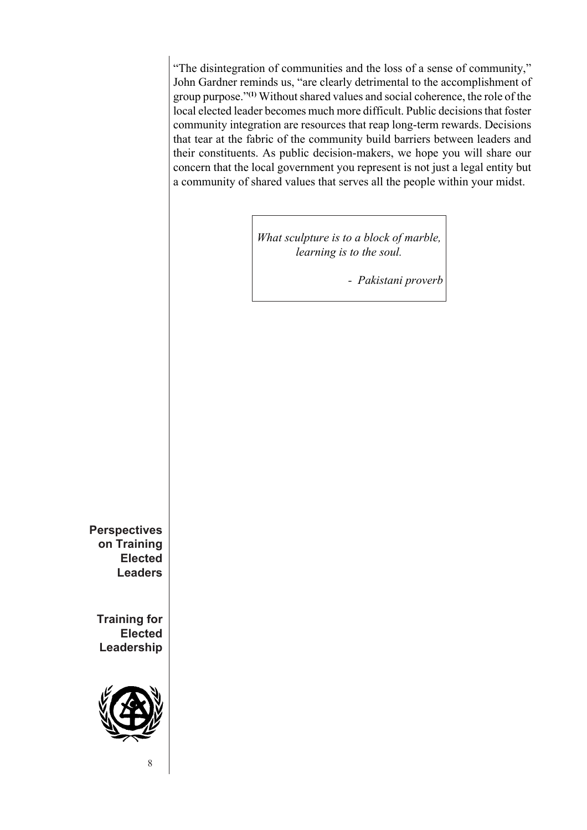"The disintegration of communities and the loss of a sense of community," John Gardner reminds us, "are clearly detrimental to the accomplishment of group purpose."**(1)** Without shared values and social coherence, the role of the local elected leader becomes much more difficult. Public decisions that foster community integration are resources that reap long-term rewards. Decisions that tear at the fabric of the community build barriers between leaders and their constituents. As public decision-makers, we hope you will share our concern that the local government you represent is not just a legal entity but a community of shared values that serves all the people within your midst.

> *What sculpture is to a block of marble, learning is to the soul.*

> > *- Pakistani proverb*

**Perspectives on Training Elected Leaders**

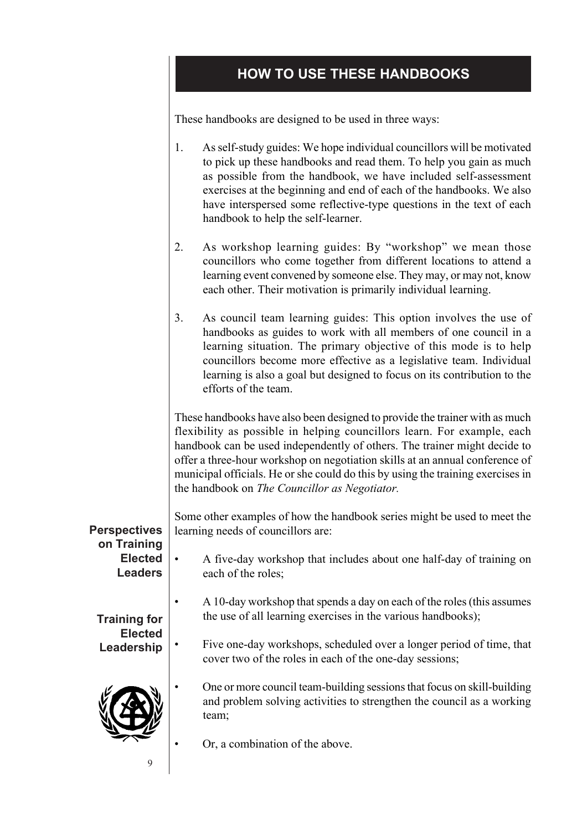# **HOW TO USE THESE HANDBOOKS**

These handbooks are designed to be used in three ways:

|                                                                        | As self-study guides: We hope individual councillors will be motivated<br>1.<br>to pick up these handbooks and read them. To help you gain as much<br>as possible from the handbook, we have included self-assessment<br>exercises at the beginning and end of each of the handbooks. We also<br>have interspersed some reflective-type questions in the text of each<br>handbook to help the self-learner.                                             |
|------------------------------------------------------------------------|---------------------------------------------------------------------------------------------------------------------------------------------------------------------------------------------------------------------------------------------------------------------------------------------------------------------------------------------------------------------------------------------------------------------------------------------------------|
|                                                                        | 2.<br>As workshop learning guides: By "workshop" we mean those<br>councillors who come together from different locations to attend a<br>learning event convened by someone else. They may, or may not, know<br>each other. Their motivation is primarily individual learning.                                                                                                                                                                           |
|                                                                        | 3.<br>As council team learning guides: This option involves the use of<br>handbooks as guides to work with all members of one council in a<br>learning situation. The primary objective of this mode is to help<br>councillors become more effective as a legislative team. Individual<br>learning is also a goal but designed to focus on its contribution to the<br>efforts of the team.                                                              |
|                                                                        | These handbooks have also been designed to provide the trainer with as much<br>flexibility as possible in helping councillors learn. For example, each<br>handbook can be used independently of others. The trainer might decide to<br>offer a three-hour workshop on negotiation skills at an annual conference of<br>municipal officials. He or she could do this by using the training exercises in<br>the handbook on The Councillor as Negotiator. |
| <b>Perspectives</b><br>on Training<br><b>Elected</b><br><b>Leaders</b> | Some other examples of how the handbook series might be used to meet the<br>learning needs of councillors are:                                                                                                                                                                                                                                                                                                                                          |
|                                                                        | A five-day workshop that includes about one half-day of training on<br>each of the roles;                                                                                                                                                                                                                                                                                                                                                               |
| <b>Training for</b><br><b>Elected</b><br>Leadership                    | A 10-day workshop that spends a day on each of the roles (this assumes<br>the use of all learning exercises in the various handbooks);                                                                                                                                                                                                                                                                                                                  |
|                                                                        | Five one-day workshops, scheduled over a longer period of time, that<br>cover two of the roles in each of the one-day sessions;                                                                                                                                                                                                                                                                                                                         |
|                                                                        | One or more council team-building sessions that focus on skill-building<br>and problem solving activities to strengthen the council as a working<br>team;                                                                                                                                                                                                                                                                                               |
|                                                                        | Or, a combination of the above.                                                                                                                                                                                                                                                                                                                                                                                                                         |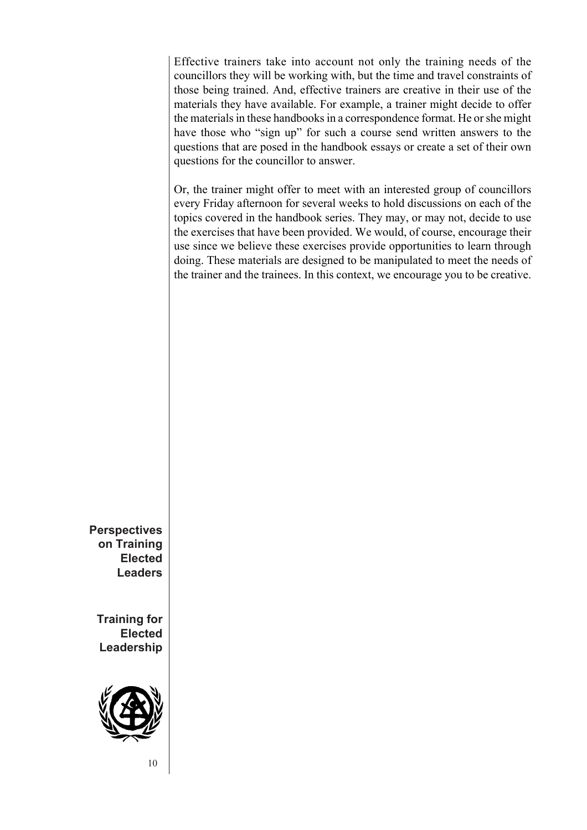Effective trainers take into account not only the training needs of the councillors they will be working with, but the time and travel constraints of those being trained. And, effective trainers are creative in their use of the materials they have available. For example, a trainer might decide to offer the materials in these handbooks in a correspondence format. He or she might have those who "sign up" for such a course send written answers to the questions that are posed in the handbook essays or create a set of their own questions for the councillor to answer.

Or, the trainer might offer to meet with an interested group of councillors every Friday afternoon for several weeks to hold discussions on each of the topics covered in the handbook series. They may, or may not, decide to use the exercises that have been provided. We would, of course, encourage their use since we believe these exercises provide opportunities to learn through doing. These materials are designed to be manipulated to meet the needs of the trainer and the trainees. In this context, we encourage you to be creative.

**Perspectives on Training Elected Leaders**

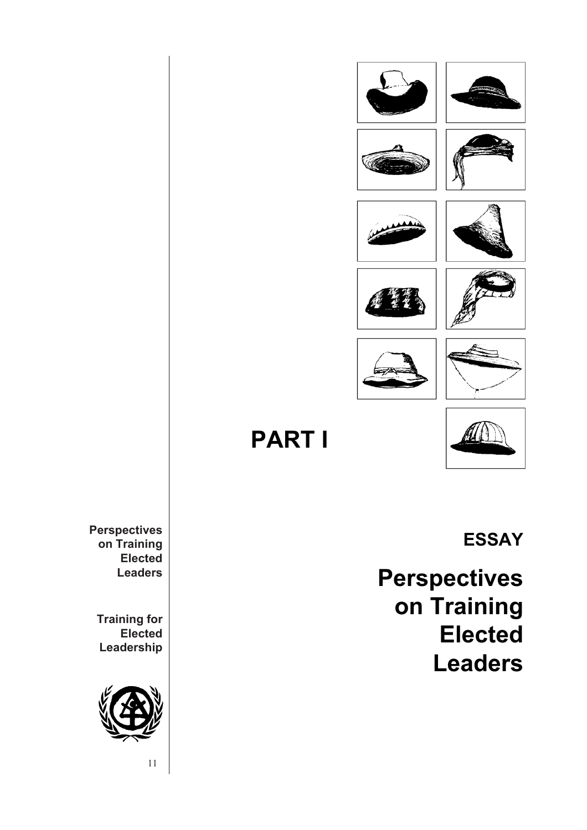



**PART I**



**Perspectives on Training Elected Leaders**

**Training for Elected Leadership**



11

**ESSAY**

**Perspectives on Training Elected Leaders**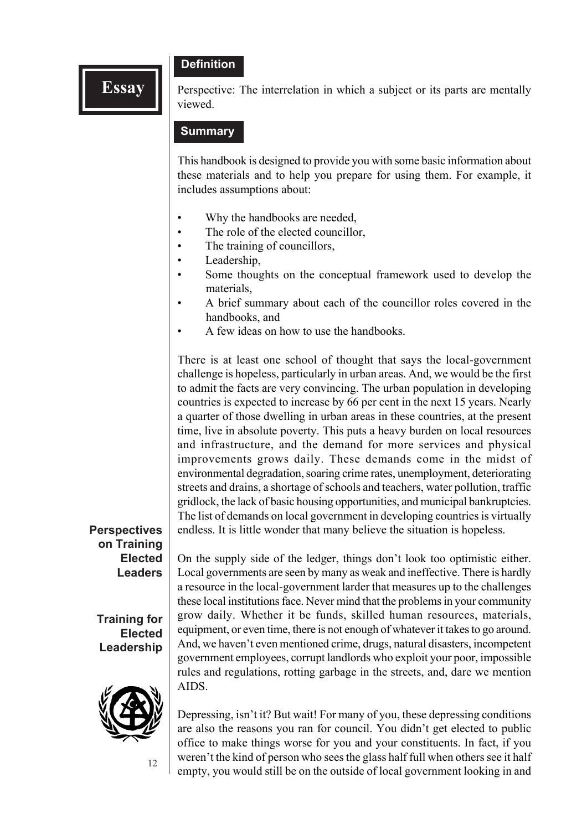#### **Definition**

**Essay** Perspective: The interrelation in which a subject or its parts are mentally viewed.

#### **Summary**

This handbook is designed to provide you with some basic information about these materials and to help you prepare for using them. For example, it includes assumptions about:

- Why the handbooks are needed,
- The role of the elected councillor,
- The training of councillors,
- Leadership.
- Some thoughts on the conceptual framework used to develop the materials,
- A brief summary about each of the councillor roles covered in the handbooks, and
- A few ideas on how to use the handbooks.

There is at least one school of thought that says the local-government challenge is hopeless, particularly in urban areas. And, we would be the first to admit the facts are very convincing. The urban population in developing countries is expected to increase by 66 per cent in the next 15 years. Nearly a quarter of those dwelling in urban areas in these countries, at the present time, live in absolute poverty. This puts a heavy burden on local resources and infrastructure, and the demand for more services and physical improvements grows daily. These demands come in the midst of environmental degradation, soaring crime rates, unemployment, deteriorating streets and drains, a shortage of schools and teachers, water pollution, traffic gridlock, the lack of basic housing opportunities, and municipal bankruptcies. The list of demands on local government in developing countries is virtually endless. It is little wonder that many believe the situation is hopeless.

#### **Perspectives on Training Elected Leaders**

**Training for Elected Leadership**



12

On the supply side of the ledger, things don't look too optimistic either. Local governments are seen by many as weak and ineffective. There is hardly a resource in the local-government larder that measures up to the challenges these local institutions face. Never mind that the problems in your community grow daily. Whether it be funds, skilled human resources, materials, equipment, or even time, there is not enough of whatever it takes to go around. And, we haven't even mentioned crime, drugs, natural disasters, incompetent government employees, corrupt landlords who exploit your poor, impossible rules and regulations, rotting garbage in the streets, and, dare we mention AIDS.

Depressing, isn't it? But wait! For many of you, these depressing conditions are also the reasons you ran for council. You didn't get elected to public office to make things worse for you and your constituents. In fact, if you weren't the kind of person who sees the glass half full when others see it half empty, you would still be on the outside of local government looking in and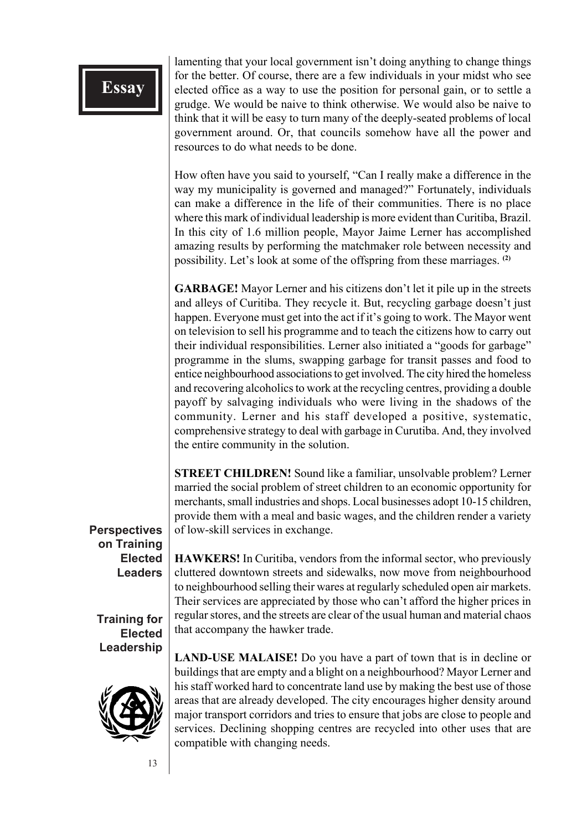lamenting that your local government isn't doing anything to change things for the better. Of course, there are a few individuals in your midst who see elected office as a way to use the position for personal gain, or to settle a grudge. We would be naive to think otherwise. We would also be naive to think that it will be easy to turn many of the deeply-seated problems of local government around. Or, that councils somehow have all the power and resources to do what needs to be done.

How often have you said to yourself, "Can I really make a difference in the way my municipality is governed and managed?" Fortunately, individuals can make a difference in the life of their communities. There is no place where this mark of individual leadership is more evident than Curitiba, Brazil. In this city of 1.6 million people, Mayor Jaime Lerner has accomplished amazing results by performing the matchmaker role between necessity and possibility. Let's look at some of the offspring from these marriages. **(2)**

**GARBAGE!** Mayor Lerner and his citizens don't let it pile up in the streets and alleys of Curitiba. They recycle it. But, recycling garbage doesn't just happen. Everyone must get into the act if it's going to work. The Mayor went on television to sell his programme and to teach the citizens how to carry out their individual responsibilities. Lerner also initiated a "goods for garbage" programme in the slums, swapping garbage for transit passes and food to entice neighbourhood associations to get involved. The city hired the homeless and recovering alcoholics to work at the recycling centres, providing a double payoff by salvaging individuals who were living in the shadows of the community. Lerner and his staff developed a positive, systematic, comprehensive strategy to deal with garbage in Curutiba. And, they involved the entire community in the solution.

**STREET CHILDREN!** Sound like a familiar, unsolvable problem? Lerner married the social problem of street children to an economic opportunity for merchants, small industries and shops. Local businesses adopt 10-15 children, provide them with a meal and basic wages, and the children render a variety of low-skill services in exchange.

#### **Perspectives on Training Elected Leaders**

**Training for Elected Leadership**



**HAWKERS!** In Curitiba, vendors from the informal sector, who previously cluttered downtown streets and sidewalks, now move from neighbourhood to neighbourhood selling their wares at regularly scheduled open air markets. Their services are appreciated by those who can't afford the higher prices in regular stores, and the streets are clear of the usual human and material chaos that accompany the hawker trade.

**LAND-USE MALAISE!** Do you have a part of town that is in decline or buildings that are empty and a blight on a neighbourhood? Mayor Lerner and his staff worked hard to concentrate land use by making the best use of those areas that are already developed. The city encourages higher density around major transport corridors and tries to ensure that jobs are close to people and services. Declining shopping centres are recycled into other uses that are compatible with changing needs.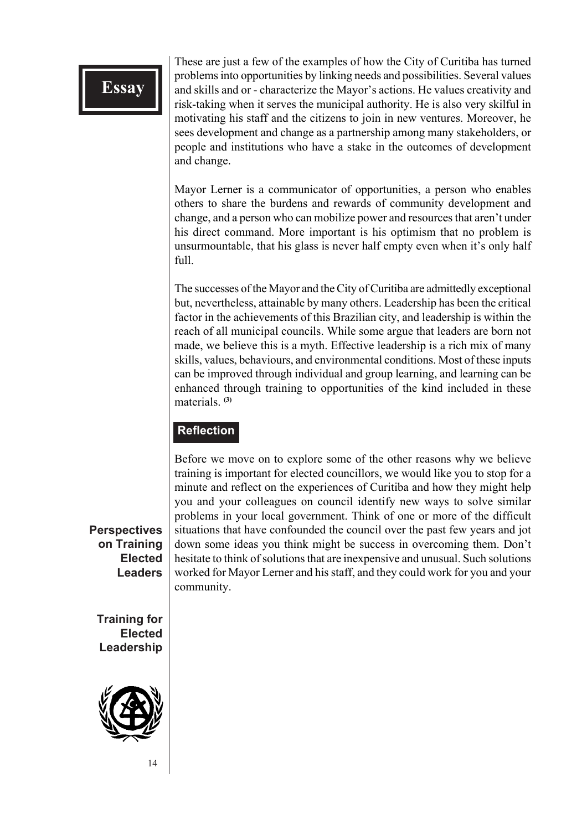These are just a few of the examples of how the City of Curitiba has turned problems into opportunities by linking needs and possibilities. Several values and skills and or - characterize the Mayor's actions. He values creativity and risk-taking when it serves the municipal authority. He is also very skilful in motivating his staff and the citizens to join in new ventures. Moreover, he sees development and change as a partnership among many stakeholders, or people and institutions who have a stake in the outcomes of development and change.

Mayor Lerner is a communicator of opportunities, a person who enables others to share the burdens and rewards of community development and change, and a person who can mobilize power and resources that aren't under his direct command. More important is his optimism that no problem is unsurmountable, that his glass is never half empty even when it's only half full.

The successes of the Mayor and the City of Curitiba are admittedly exceptional but, nevertheless, attainable by many others. Leadership has been the critical factor in the achievements of this Brazilian city, and leadership is within the reach of all municipal councils. While some argue that leaders are born not made, we believe this is a myth. Effective leadership is a rich mix of many skills, values, behaviours, and environmental conditions. Most of these inputs can be improved through individual and group learning, and learning can be enhanced through training to opportunities of the kind included in these materials. **(3)**

#### **Reflection**

Before we move on to explore some of the other reasons why we believe training is important for elected councillors, we would like you to stop for a minute and reflect on the experiences of Curitiba and how they might help you and your colleagues on council identify new ways to solve similar problems in your local government. Think of one or more of the difficult situations that have confounded the council over the past few years and jot down some ideas you think might be success in overcoming them. Don't hesitate to think of solutions that are inexpensive and unusual. Such solutions worked for Mayor Lerner and his staff, and they could work for you and your community.

**Perspectives on Training Elected Leaders**

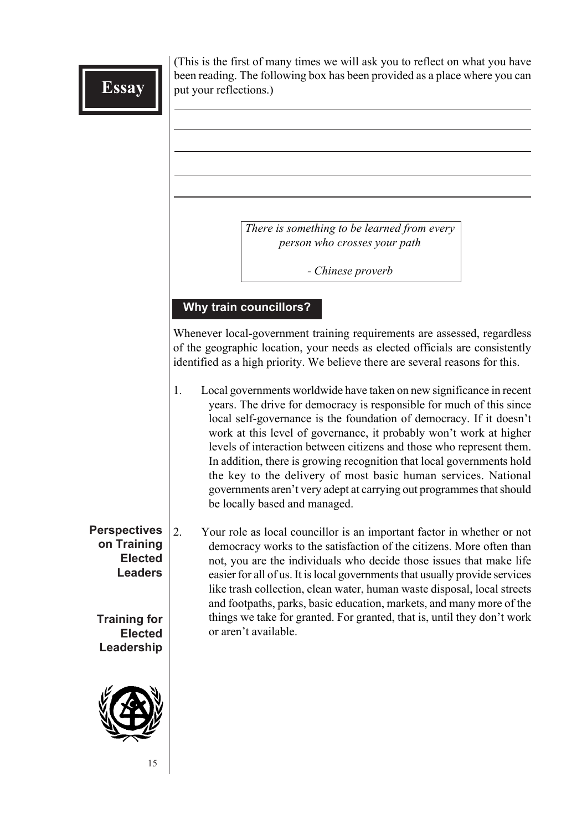(This is the first of many times we will ask you to reflect on what you have been reading. The following box has been provided as a place where you can put your reflections.)

> *There is something to be learned from every person who crosses your path*

> > *- Chinese proverb*

#### **Why train councillors?**

Whenever local-government training requirements are assessed, regardless of the geographic location, your needs as elected officials are consistently identified as a high priority. We believe there are several reasons for this.

- 1. Local governments worldwide have taken on new significance in recent years. The drive for democracy is responsible for much of this since local self-governance is the foundation of democracy. If it doesn't work at this level of governance, it probably won't work at higher levels of interaction between citizens and those who represent them. In addition, there is growing recognition that local governments hold the key to the delivery of most basic human services. National governments aren't very adept at carrying out programmes that should be locally based and managed.
- **Perspectives on Training Elected Leaders Training for Elected** 2. Your role as local councillor is an important factor in whether or not democracy works to the satisfaction of the citizens. More often than not, you are the individuals who decide those issues that make life easier for all of us. It is local governments that usually provide services like trash collection, clean water, human waste disposal, local streets and footpaths, parks, basic education, markets, and many more of the things we take for granted. For granted, that is, until they don't work or aren't available.



**Leadership**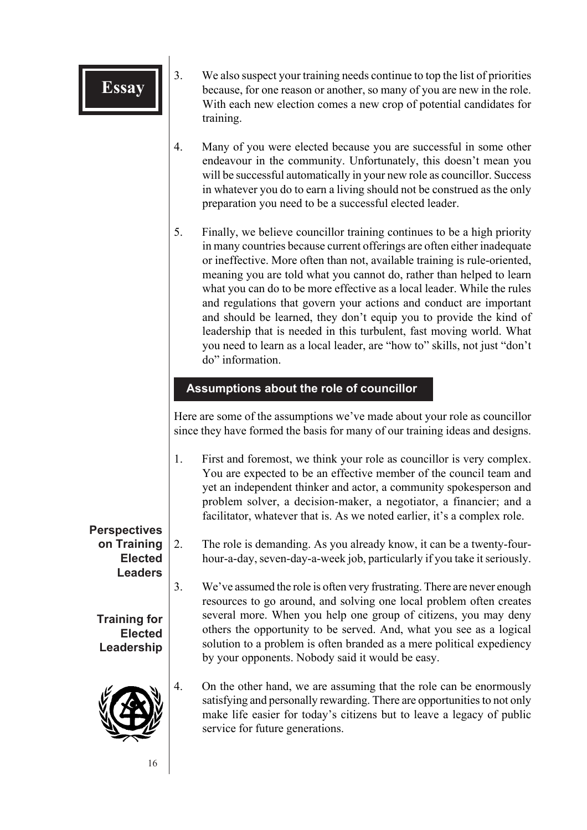| Essay                                               | 3. | We also suspect your training needs continue to top the list of priorities<br>because, for one reason or another, so many of you are new in the role.<br>With each new election comes a new crop of potential candidates for<br>training.                                                                                                                                                                                                                                                                                                                                                                                                                                                               |
|-----------------------------------------------------|----|---------------------------------------------------------------------------------------------------------------------------------------------------------------------------------------------------------------------------------------------------------------------------------------------------------------------------------------------------------------------------------------------------------------------------------------------------------------------------------------------------------------------------------------------------------------------------------------------------------------------------------------------------------------------------------------------------------|
|                                                     | 4. | Many of you were elected because you are successful in some other<br>endeavour in the community. Unfortunately, this doesn't mean you<br>will be successful automatically in your new role as councillor. Success<br>in whatever you do to earn a living should not be construed as the only<br>preparation you need to be a successful elected leader.                                                                                                                                                                                                                                                                                                                                                 |
|                                                     | 5. | Finally, we believe councillor training continues to be a high priority<br>in many countries because current offerings are often either inadequate<br>or ineffective. More often than not, available training is rule-oriented,<br>meaning you are told what you cannot do, rather than helped to learn<br>what you can do to be more effective as a local leader. While the rules<br>and regulations that govern your actions and conduct are important<br>and should be learned, they don't equip you to provide the kind of<br>leadership that is needed in this turbulent, fast moving world. What<br>you need to learn as a local leader, are "how to" skills, not just "don't<br>do" information. |
|                                                     |    | Assumptions about the role of councillor                                                                                                                                                                                                                                                                                                                                                                                                                                                                                                                                                                                                                                                                |
|                                                     |    | Here are some of the assumptions we've made about your role as councillor<br>since they have formed the basis for many of our training ideas and designs.                                                                                                                                                                                                                                                                                                                                                                                                                                                                                                                                               |
|                                                     | 1. | First and foremost, we think your role as councillor is very complex.<br>You are expected to be an effective member of the council team and<br>yet an independent thinker and actor, a community spokesperson and<br>problem solver, a decision-maker, a negotiator, a financier; and a<br>facilitator, whatever that is. As we noted earlier, it's a complex role.                                                                                                                                                                                                                                                                                                                                     |
| <b>Perspectives</b>                                 |    |                                                                                                                                                                                                                                                                                                                                                                                                                                                                                                                                                                                                                                                                                                         |
| on Training<br><b>Elected</b><br><b>Leaders</b>     | 2. | The role is demanding. As you already know, it can be a twenty-four-<br>hour-a-day, seven-day-a-week job, particularly if you take it seriously.                                                                                                                                                                                                                                                                                                                                                                                                                                                                                                                                                        |
| <b>Training for</b><br><b>Elected</b><br>Leadership | 3. | We've assumed the role is often very frustrating. There are never enough<br>resources to go around, and solving one local problem often creates<br>several more. When you help one group of citizens, you may deny<br>others the opportunity to be served. And, what you see as a logical<br>solution to a problem is often branded as a mere political expediency                                                                                                                                                                                                                                                                                                                                      |
|                                                     |    | by your opponents. Nobody said it would be easy.                                                                                                                                                                                                                                                                                                                                                                                                                                                                                                                                                                                                                                                        |
|                                                     | 4. | On the other hand, we are assuming that the role can be enormously<br>satisfying and personally rewarding. There are opportunities to not only<br>make life easier for today's citizens but to leave a legacy of public<br>service for future generations.                                                                                                                                                                                                                                                                                                                                                                                                                                              |
| 16                                                  |    |                                                                                                                                                                                                                                                                                                                                                                                                                                                                                                                                                                                                                                                                                                         |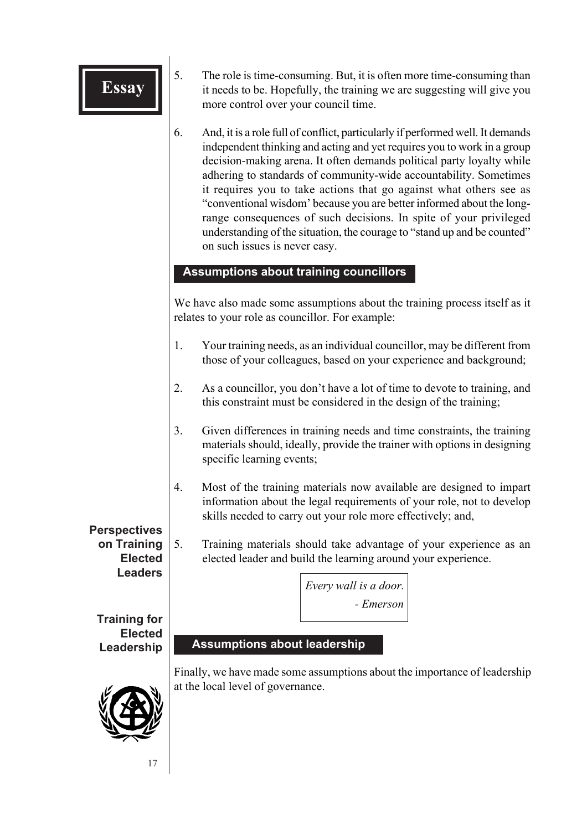- **Essay**  $\begin{bmatrix} 5. \end{bmatrix}$  S. The role is time-consuming. But, it is often more time-consuming than it needs to be. Hopefully, the training we are suggesting will give you more control over your council time.
	- 6. And, it is a role full of conflict, particularly if performed well. It demands independent thinking and acting and yet requires you to work in a group decision-making arena. It often demands political party loyalty while adhering to standards of community-wide accountability. Sometimes it requires you to take actions that go against what others see as "conventional wisdom' because you are better informed about the longrange consequences of such decisions. In spite of your privileged understanding of the situation, the courage to "stand up and be counted" on such issues is never easy.

### **Assumptions about training councillors**

We have also made some assumptions about the training process itself as it relates to your role as councillor. For example:

- 1. Your training needs, as an individual councillor, may be different from those of your colleagues, based on your experience and background;
- 2. As a councillor, you don't have a lot of time to devote to training, and this constraint must be considered in the design of the training;
- 3. Given differences in training needs and time constraints, the training materials should, ideally, provide the trainer with options in designing specific learning events;
- 4. Most of the training materials now available are designed to impart information about the legal requirements of your role, not to develop skills needed to carry out your role more effectively; and,

**Perspectives on Training Elected Leaders**

5. Training materials should take advantage of your experience as an elected leader and build the learning around your experience.

> *Every wall is a door. - Emerson*

**Training for Elected Leadership**

## **Assumptions about leadership**

Finally, we have made some assumptions about the importance of leadership at the local level of governance.

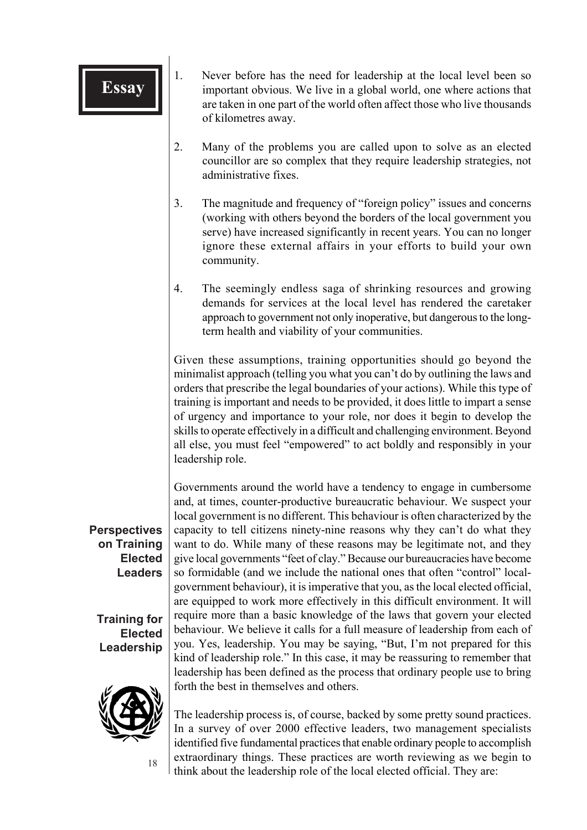- **Essay** 1. Never before has the need for leadership at the local level been so important obvious. We live in a global world, one where actions that are taken in one part of the world often affect those who live thousands of kilometres away.
	- 2. Many of the problems you are called upon to solve as an elected councillor are so complex that they require leadership strategies, not administrative fixes.
	- 3. The magnitude and frequency of "foreign policy" issues and concerns (working with others beyond the borders of the local government you serve) have increased significantly in recent years. You can no longer ignore these external affairs in your efforts to build your own community.
	- 4. The seemingly endless saga of shrinking resources and growing demands for services at the local level has rendered the caretaker approach to government not only inoperative, but dangerous to the longterm health and viability of your communities.

Given these assumptions, training opportunities should go beyond the minimalist approach (telling you what you can't do by outlining the laws and orders that prescribe the legal boundaries of your actions). While this type of training is important and needs to be provided, it does little to impart a sense of urgency and importance to your role, nor does it begin to develop the skills to operate effectively in a difficult and challenging environment. Beyond all else, you must feel "empowered" to act boldly and responsibly in your leadership role.

Governments around the world have a tendency to engage in cumbersome and, at times, counter-productive bureaucratic behaviour. We suspect your local government is no different. This behaviour is often characterized by the capacity to tell citizens ninety-nine reasons why they can't do what they want to do. While many of these reasons may be legitimate not, and they give local governments "feet of clay." Because our bureaucracies have become so formidable (and we include the national ones that often "control" localgovernment behaviour), it is imperative that you, as the local elected official, are equipped to work more effectively in this difficult environment. It will require more than a basic knowledge of the laws that govern your elected behaviour. We believe it calls for a full measure of leadership from each of you. Yes, leadership. You may be saying, "But, I'm not prepared for this kind of leadership role." In this case, it may be reassuring to remember that leadership has been defined as the process that ordinary people use to bring forth the best in themselves and others.

The leadership process is, of course, backed by some pretty sound practices. In a survey of over 2000 effective leaders, two management specialists identified five fundamental practices that enable ordinary people to accomplish extraordinary things. These practices are worth reviewing as we begin to think about the leadership role of the local elected official. They are:

**Perspectives on Training Elected Leaders**

**Training for Elected Leadership**



18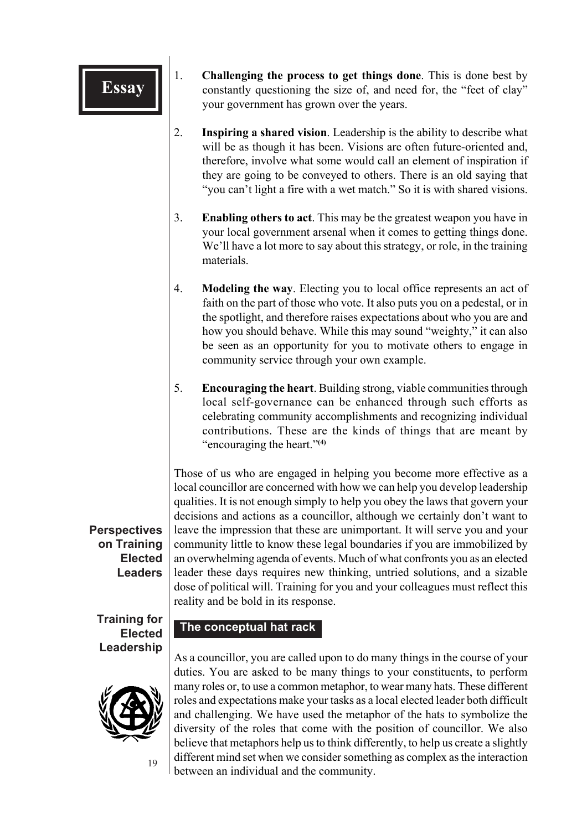- 1. **Challenging the process to get things done**. This is done best by constantly questioning the size of, and need for, the "feet of clay" your government has grown over the years.
- 2. **Inspiring a shared vision**. Leadership is the ability to describe what will be as though it has been. Visions are often future-oriented and, therefore, involve what some would call an element of inspiration if they are going to be conveyed to others. There is an old saying that "you can't light a fire with a wet match." So it is with shared visions.
- 3. **Enabling others to act**. This may be the greatest weapon you have in your local government arsenal when it comes to getting things done. We'll have a lot more to say about this strategy, or role, in the training materials.
- 4. **Modeling the way**. Electing you to local office represents an act of faith on the part of those who vote. It also puts you on a pedestal, or in the spotlight, and therefore raises expectations about who you are and how you should behave. While this may sound "weighty," it can also be seen as an opportunity for you to motivate others to engage in community service through your own example.
- 5. **Encouraging the heart**. Building strong, viable communities through local self-governance can be enhanced through such efforts as celebrating community accomplishments and recognizing individual contributions. These are the kinds of things that are meant by "encouraging the heart."**(4)**

Those of us who are engaged in helping you become more effective as a local councillor are concerned with how we can help you develop leadership qualities. It is not enough simply to help you obey the laws that govern your decisions and actions as a councillor, although we certainly don't want to leave the impression that these are unimportant. It will serve you and your community little to know these legal boundaries if you are immobilized by an overwhelming agenda of events. Much of what confronts you as an elected leader these days requires new thinking, untried solutions, and a sizable dose of political will. Training for you and your colleagues must reflect this reality and be bold in its response.

**Training for Elected Leadership**

**Perspectives on Training Elected Leaders**



19

### **The conceptual hat rack**

As a councillor, you are called upon to do many things in the course of your duties. You are asked to be many things to your constituents, to perform many roles or, to use a common metaphor, to wear many hats. These different roles and expectations make your tasks as a local elected leader both difficult and challenging. We have used the metaphor of the hats to symbolize the diversity of the roles that come with the position of councillor. We also believe that metaphors help us to think differently, to help us create a slightly different mind set when we consider something as complex as the interaction between an individual and the community.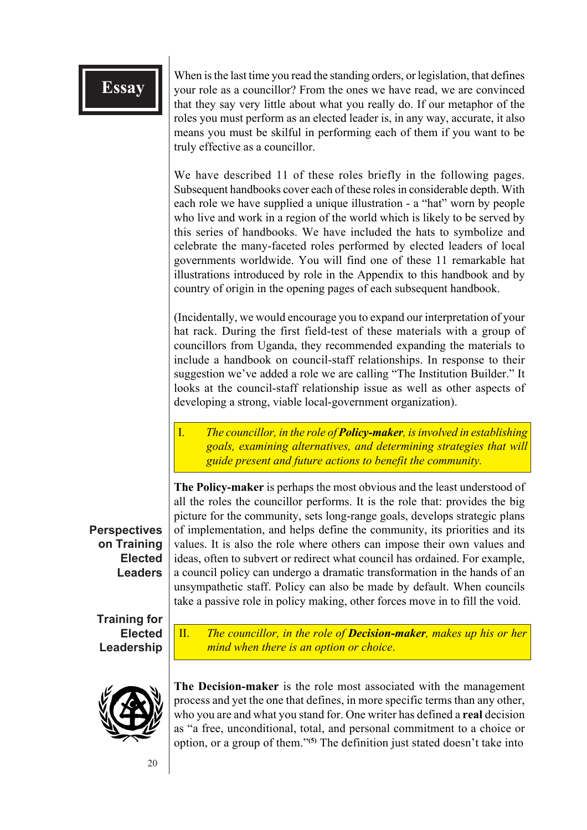**Essay** When is the last time you read the standing orders, or legislation, that defines your role as a councillor? From the ones we have read, we are convinced that they say very little about what you really do. If our metaphor of the roles you must perform as an elected leader is, in any way, accurate, it also means you must be skilful in performing each of them if you want to be truly effective as a councillor.

> We have described 11 of these roles briefly in the following pages. Subsequent handbooks cover each of these roles in considerable depth. With each role we have supplied a unique illustration - a "hat" worn by people who live and work in a region of the world which is likely to be served by this series of handbooks. We have included the hats to symbolize and celebrate the many-faceted roles performed by elected leaders of local governments worldwide. You will find one of these 11 remarkable hat illustrations introduced by role in the Appendix to this handbook and by country of origin in the opening pages of each subsequent handbook.

> (Incidentally, we would encourage you to expand our interpretation of your hat rack. During the first field-test of these materials with a group of councillors from Uganda, they recommended expanding the materials to include a handbook on council-staff relationships. In response to their suggestion we've added a role we are calling "The Institution Builder." It looks at the council-staff relationship issue as well as other aspects of developing a strong, viable local-government organization).

> I. *The councillor, in the role of Policy-maker, is involved in establishing goals, examining alternatives, and determining strategies that will guide present and future actions to benefit the community.*

**Perspectives on Training Elected Leaders**

**The Policy-maker** is perhaps the most obvious and the least understood of all the roles the councillor performs. It is the role that: provides the big picture for the community, sets long-range goals, develops strategic plans of implementation, and helps define the community, its priorities and its values. It is also the role where others can impose their own values and ideas, often to subvert or redirect what council has ordained. For example, a council policy can undergo a dramatic transformation in the hands of an unsympathetic staff. Policy can also be made by default. When councils take a passive role in policy making, other forces move in to fill the void.

**Training for Elected Leadership**

II. *The councillor, in the role of Decision-maker, makes up his or her mind when there is an option or choice*.



**The Decision-maker** is the role most associated with the management process and yet the one that defines, in more specific terms than any other, who you are and what you stand for. One writer has defined a **real** decision as "a free, unconditional, total, and personal commitment to a choice or option, or a group of them."**(5)** The definition just stated doesn't take into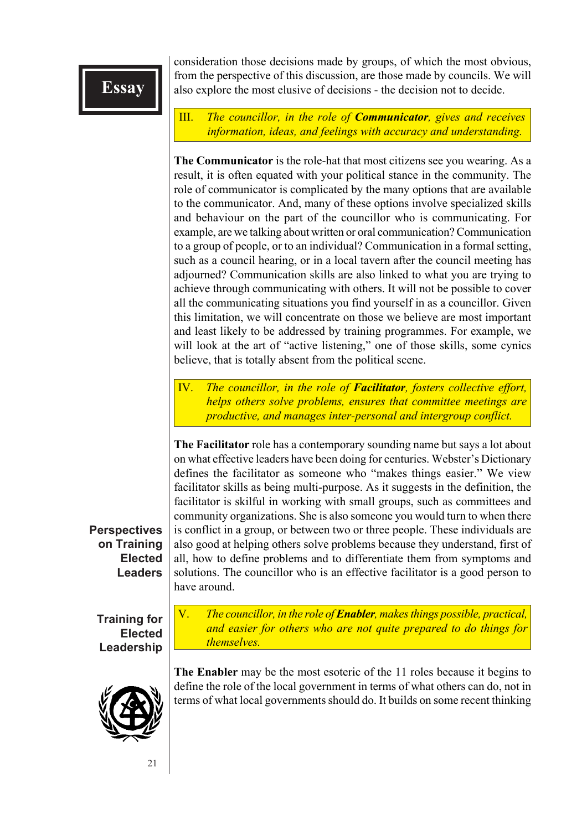consideration those decisions made by groups, of which the most obvious, from the perspective of this discussion, are those made by councils. We will also explore the most elusive of decisions - the decision not to decide.

III. *The councillor, in the role of Communicator, gives and receives information, ideas, and feelings with accuracy and understanding.*

**The Communicator** is the role-hat that most citizens see you wearing. As a result, it is often equated with your political stance in the community. The role of communicator is complicated by the many options that are available to the communicator. And, many of these options involve specialized skills and behaviour on the part of the councillor who is communicating. For example, are we talking about written or oral communication? Communication to a group of people, or to an individual? Communication in a formal setting, such as a council hearing, or in a local tavern after the council meeting has adjourned? Communication skills are also linked to what you are trying to achieve through communicating with others. It will not be possible to cover all the communicating situations you find yourself in as a councillor. Given this limitation, we will concentrate on those we believe are most important and least likely to be addressed by training programmes. For example, we will look at the art of "active listening," one of those skills, some cynics believe, that is totally absent from the political scene.

IV. *The councillor, in the role of Facilitator, fosters collective effort, helps others solve problems, ensures that committee meetings are productive, and manages inter-personal and intergroup conflict.*

**The Facilitator** role has a contemporary sounding name but says a lot about on what effective leaders have been doing for centuries. Webster's Dictionary defines the facilitator as someone who "makes things easier." We view facilitator skills as being multi-purpose. As it suggests in the definition, the facilitator is skilful in working with small groups, such as committees and community organizations. She is also someone you would turn to when there is conflict in a group, or between two or three people. These individuals are also good at helping others solve problems because they understand, first of all, how to define problems and to differentiate them from symptoms and solutions. The councillor who is an effective facilitator is a good person to have around.

**Perspectives on Training Elected Leaders**

**Training for Elected Leadership** V. *The councillor, in the role of Enabler, makes things possible, practical, and easier for others who are not quite prepared to do things for themselves.*



**The Enabler** may be the most esoteric of the 11 roles because it begins to define the role of the local government in terms of what others can do, not in terms of what local governments should do. It builds on some recent thinking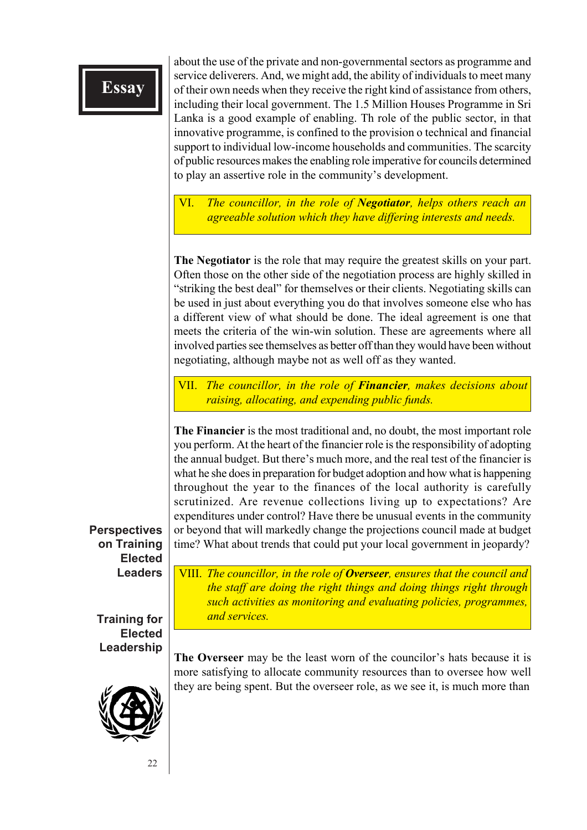about the use of the private and non-governmental sectors as programme and service deliverers. And, we might add, the ability of individuals to meet many of their own needs when they receive the right kind of assistance from others, including their local government. The 1.5 Million Houses Programme in Sri Lanka is a good example of enabling. Th role of the public sector, in that innovative programme, is confined to the provision o technical and financial support to individual low-income households and communities. The scarcity of public resources makes the enabling role imperative for councils determined to play an assertive role in the community's development.

VI. *The councillor, in the role of Negotiator, helps others reach an agreeable solution which they have differing interests and needs.*

**The Negotiator** is the role that may require the greatest skills on your part. Often those on the other side of the negotiation process are highly skilled in "striking the best deal" for themselves or their clients. Negotiating skills can be used in just about everything you do that involves someone else who has a different view of what should be done. The ideal agreement is one that meets the criteria of the win-win solution. These are agreements where all involved parties see themselves as better off than they would have been without negotiating, although maybe not as well off as they wanted.

VII. *The councillor, in the role of Financier, makes decisions about raising, allocating, and expending public funds.*

**The Financier** is the most traditional and, no doubt, the most important role you perform. At the heart of the financier role is the responsibility of adopting the annual budget. But there's much more, and the real test of the financier is what he she does in preparation for budget adoption and how what is happening throughout the year to the finances of the local authority is carefully scrutinized. Are revenue collections living up to expectations? Are expenditures under control? Have there be unusual events in the community or beyond that will markedly change the projections council made at budget time? What about trends that could put your local government in jeopardy?

**Perspectives on Training Elected Leaders**

**Training for Elected Leadership**



**The Overseer** may be the least worn of the councilor's hats because it is more satisfying to allocate community resources than to oversee how well they are being spent. But the overseer role, as we see it, is much more than

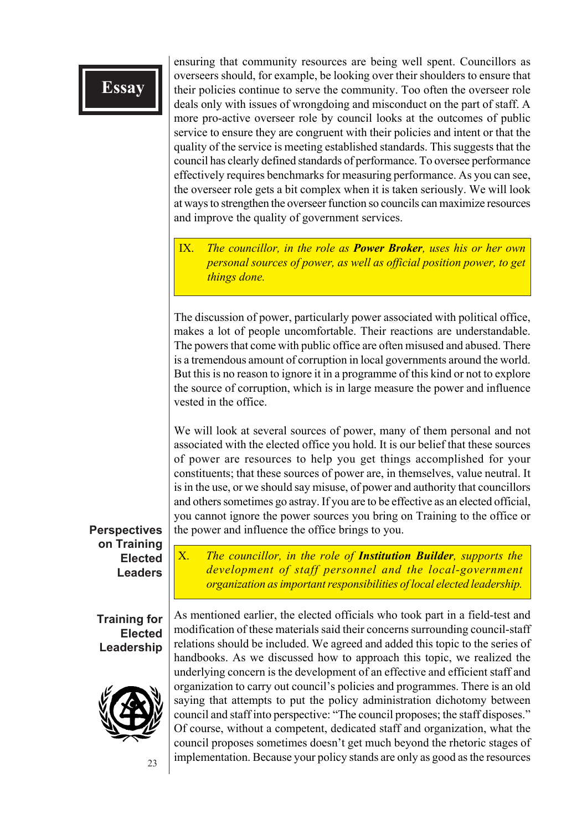ensuring that community resources are being well spent. Councillors as overseers should, for example, be looking over their shoulders to ensure that their policies continue to serve the community. Too often the overseer role deals only with issues of wrongdoing and misconduct on the part of staff. A more pro-active overseer role by council looks at the outcomes of public service to ensure they are congruent with their policies and intent or that the quality of the service is meeting established standards. This suggests that the council has clearly defined standards of performance. To oversee performance effectively requires benchmarks for measuring performance. As you can see, the overseer role gets a bit complex when it is taken seriously. We will look at ways to strengthen the overseer function so councils can maximize resources and improve the quality of government services.

IX. *The councillor, in the role as Power Broker, uses his or her own personal sources of power, as well as official position power, to get things done.*

The discussion of power, particularly power associated with political office, makes a lot of people uncomfortable. Their reactions are understandable. The powers that come with public office are often misused and abused. There is a tremendous amount of corruption in local governments around the world. But this is no reason to ignore it in a programme of this kind or not to explore the source of corruption, which is in large measure the power and influence vested in the office.

We will look at several sources of power, many of them personal and not associated with the elected office you hold. It is our belief that these sources of power are resources to help you get things accomplished for your constituents; that these sources of power are, in themselves, value neutral. It is in the use, or we should say misuse, of power and authority that councillors and others sometimes go astray. If you are to be effective as an elected official, you cannot ignore the power sources you bring on Training to the office or the power and influence the office brings to you.

X. *The councillor, in the role of Institution Builder, supports the*

*development of staff personnel and the local-government*

#### **Perspectives on Training Elected Leaders**

*organization as important responsibilities of local elected leadership.*

**Training for Elected Leadership**



23

As mentioned earlier, the elected officials who took part in a field-test and modification of these materials said their concerns surrounding council-staff relations should be included. We agreed and added this topic to the series of handbooks. As we discussed how to approach this topic, we realized the underlying concern is the development of an effective and efficient staff and organization to carry out council's policies and programmes. There is an old saying that attempts to put the policy administration dichotomy between council and staff into perspective: "The council proposes; the staff disposes." Of course, without a competent, dedicated staff and organization, what the council proposes sometimes doesn't get much beyond the rhetoric stages of implementation. Because your policy stands are only as good as the resources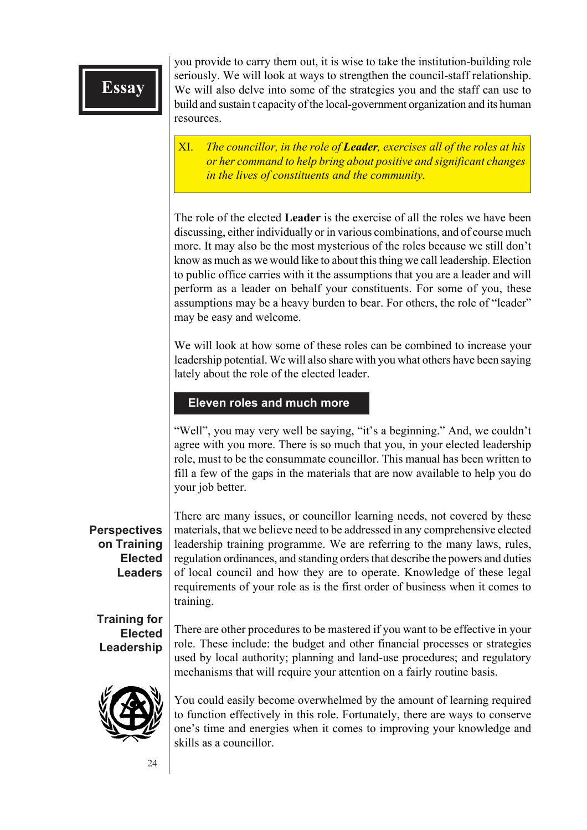you provide to carry them out, it is wise to take the institution-building role seriously. We will look at ways to strengthen the council-staff relationship. We will also delve into some of the strategies you and the staff can use to build and sustain t capacity of the local-government organization and its human resources.

XI. *The councillor, in the role of Leader, exercises all of the roles at his or her command to help bring about positive and significant changes in the lives of constituents and the community.*

The role of the elected **Leader** is the exercise of all the roles we have been discussing, either individually or in various combinations, and of course much more. It may also be the most mysterious of the roles because we still don't know as much as we would like to about this thing we call leadership. Election to public office carries with it the assumptions that you are a leader and will perform as a leader on behalf your constituents. For some of you, these assumptions may be a heavy burden to bear. For others, the role of "leader" may be easy and welcome.

We will look at how some of these roles can be combined to increase your leadership potential. We will also share with you what others have been saying lately about the role of the elected leader.

#### **Eleven roles and much more**

"Well", you may very well be saying, "it's a beginning." And, we couldn't agree with you more. There is so much that you, in your elected leadership role, must to be the consummate councillor. This manual has been written to fill a few of the gaps in the materials that are now available to help you do your job better.

#### **Perspectives on Training Elected Leaders**

There are many issues, or councillor learning needs, not covered by these materials, that we believe need to be addressed in any comprehensive elected leadership training programme. We are referring to the many laws, rules, regulation ordinances, and standing orders that describe the powers and duties of local council and how they are to operate. Knowledge of these legal requirements of your role as is the first order of business when it comes to training.

**Training for Elected Leadership**

There are other procedures to be mastered if you want to be effective in your role. These include: the budget and other financial processes or strategies used by local authority; planning and land-use procedures; and regulatory mechanisms that will require your attention on a fairly routine basis.



You could easily become overwhelmed by the amount of learning required to function effectively in this role. Fortunately, there are ways to conserve one's time and energies when it comes to improving your knowledge and skills as a councillor.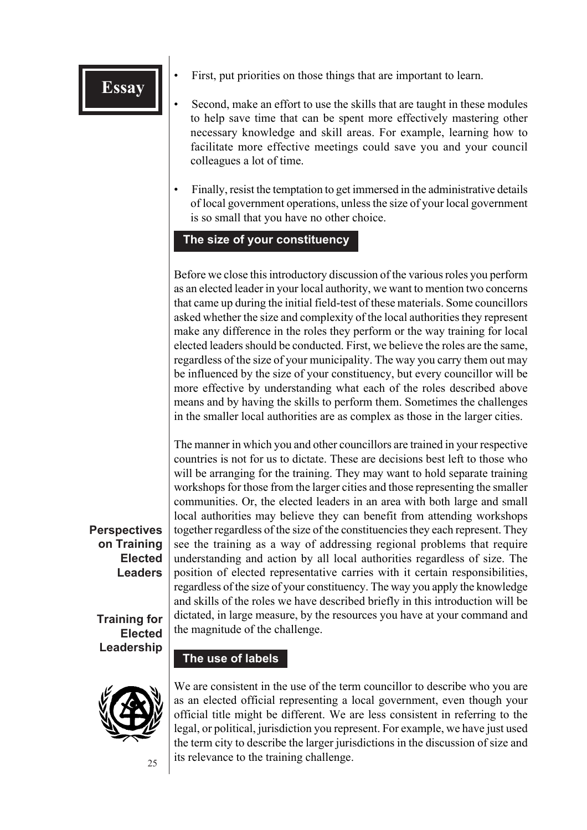- **Essay**  $\left\| \cdot \right\|$  First, put priorities on those things that are important to learn.
	- Second, make an effort to use the skills that are taught in these modules to help save time that can be spent more effectively mastering other necessary knowledge and skill areas. For example, learning how to facilitate more effective meetings could save you and your council colleagues a lot of time.
	- Finally, resist the temptation to get immersed in the administrative details of local government operations, unless the size of your local government is so small that you have no other choice.

#### **The size of your constituency**

Before we close this introductory discussion of the various roles you perform as an elected leader in your local authority, we want to mention two concerns that came up during the initial field-test of these materials. Some councillors asked whether the size and complexity of the local authorities they represent make any difference in the roles they perform or the way training for local elected leaders should be conducted. First, we believe the roles are the same, regardless of the size of your municipality. The way you carry them out may be influenced by the size of your constituency, but every councillor will be more effective by understanding what each of the roles described above means and by having the skills to perform them. Sometimes the challenges in the smaller local authorities are as complex as those in the larger cities.

The manner in which you and other councillors are trained in your respective countries is not for us to dictate. These are decisions best left to those who will be arranging for the training. They may want to hold separate training workshops for those from the larger cities and those representing the smaller communities. Or, the elected leaders in an area with both large and small local authorities may believe they can benefit from attending workshops together regardless of the size of the constituencies they each represent. They see the training as a way of addressing regional problems that require understanding and action by all local authorities regardless of size. The position of elected representative carries with it certain responsibilities, regardless of the size of your constituency. The way you apply the knowledge and skills of the roles we have described briefly in this introduction will be dictated, in large measure, by the resources you have at your command and the magnitude of the challenge.

#### **Perspectives on Training Elected Leaders**

**Training for Elected Leadership**

### **The use of labels**



25

We are consistent in the use of the term councillor to describe who you are as an elected official representing a local government, even though your official title might be different. We are less consistent in referring to the legal, or political, jurisdiction you represent. For example, we have just used the term city to describe the larger jurisdictions in the discussion of size and its relevance to the training challenge.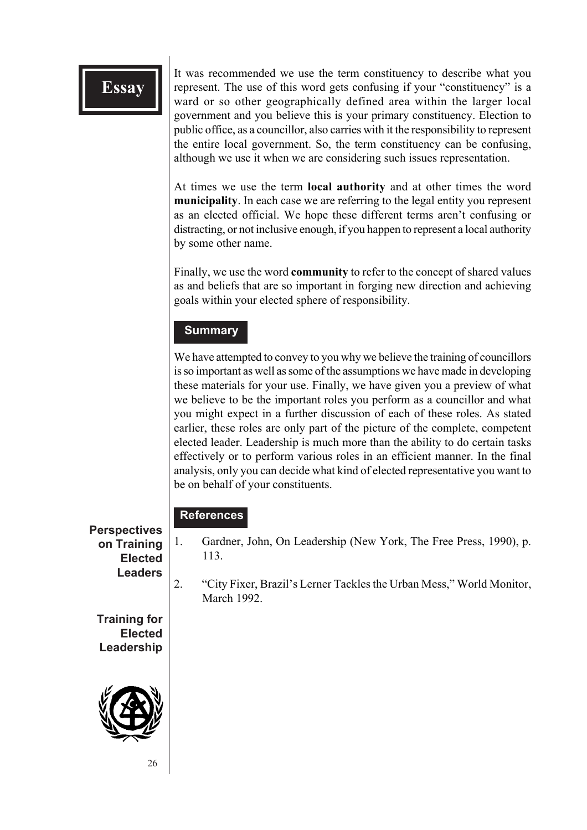It was recommended we use the term constituency to describe what you represent. The use of this word gets confusing if your "constituency" is a ward or so other geographically defined area within the larger local government and you believe this is your primary constituency. Election to public office, as a councillor, also carries with it the responsibility to represent the entire local government. So, the term constituency can be confusing, although we use it when we are considering such issues representation.

At times we use the term **local authority** and at other times the word **municipality**. In each case we are referring to the legal entity you represent as an elected official. We hope these different terms aren't confusing or distracting, or not inclusive enough, if you happen to represent a local authority by some other name.

Finally, we use the word **community** to refer to the concept of shared values as and beliefs that are so important in forging new direction and achieving goals within your elected sphere of responsibility.

#### **Summary**

We have attempted to convey to you why we believe the training of councillors is so important as well as some of the assumptions we have made in developing these materials for your use. Finally, we have given you a preview of what we believe to be the important roles you perform as a councillor and what you might expect in a further discussion of each of these roles. As stated earlier, these roles are only part of the picture of the complete, competent elected leader. Leadership is much more than the ability to do certain tasks effectively or to perform various roles in an efficient manner. In the final analysis, only you can decide what kind of elected representative you want to be on behalf of your constituents.

#### **References**

**Perspectives on Training Elected Leaders**

- 1. Gardner, John, On Leadership (New York, The Free Press, 1990), p. 113.
- 2. "City Fixer, Brazil's Lerner Tackles the Urban Mess," World Monitor, March 1992.

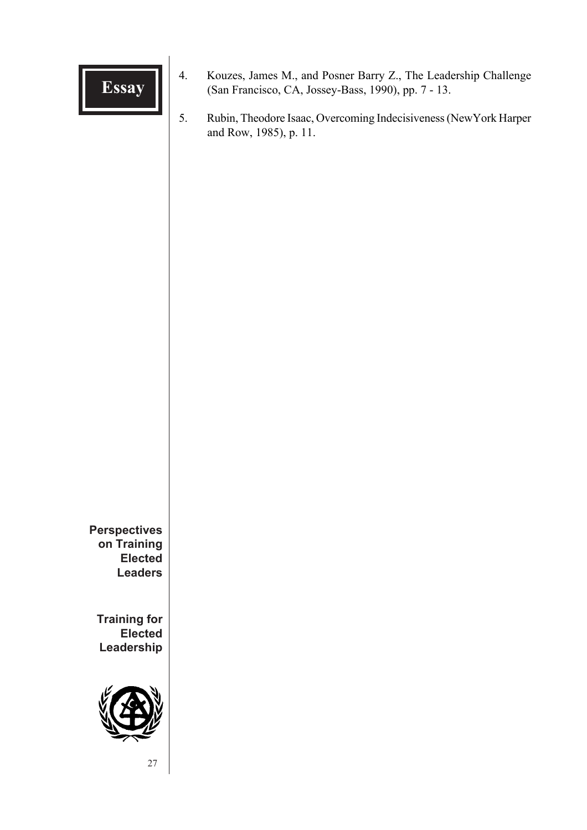

- **Essay** 4. Kouzes, James M., and Posner Barry Z., The Leadership Challenge (San Francisco, CA, Jossey-Bass, 1990), pp. 7 13.
	- 5. Rubin, Theodore Isaac, Overcoming Indecisiveness (NewYork Harper and Row, 1985), p. 11.

**Perspectives on Training Elected Leaders**

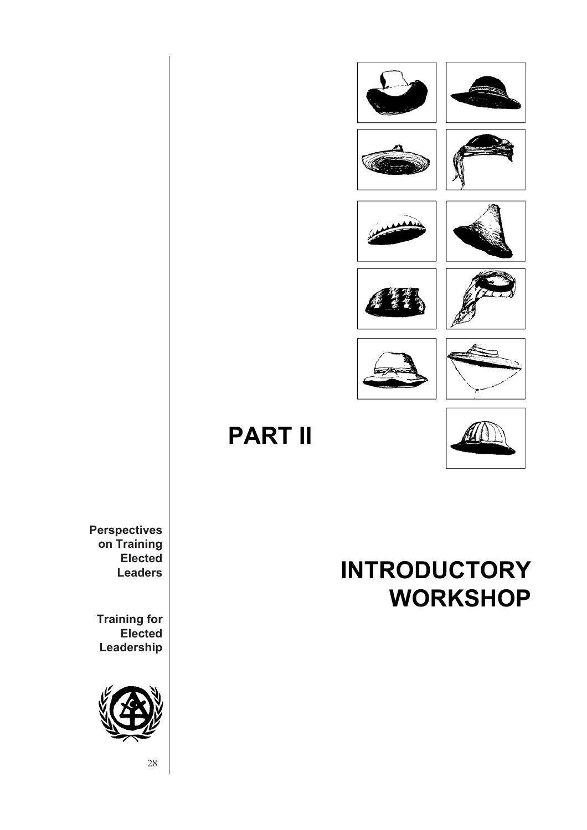















**PART II**



**Perspectives on Training Elected Leaders**

**Training for Elected Leadership**



**INTRODUCTORY WORKSHOP**

28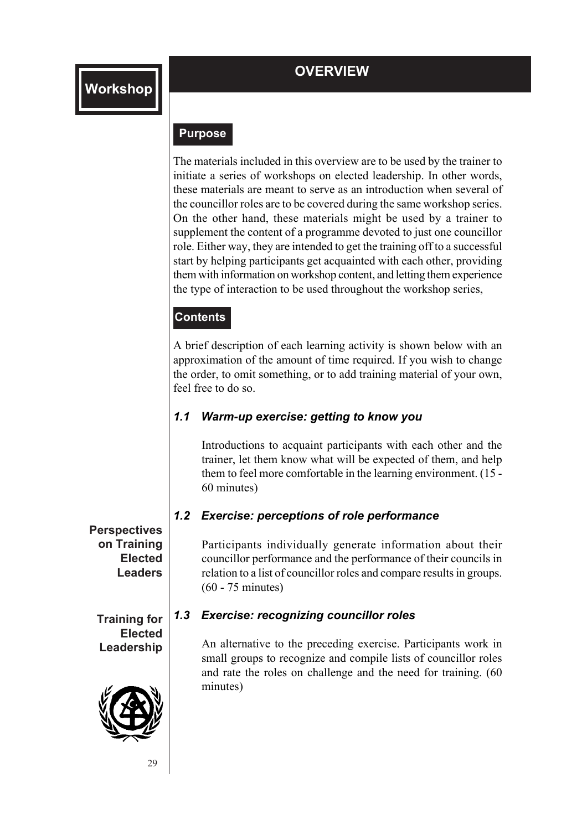#### **Purpose**

The materials included in this overview are to be used by the trainer to initiate a series of workshops on elected leadership. In other words, these materials are meant to serve as an introduction when several of the councillor roles are to be covered during the same workshop series. On the other hand, these materials might be used by a trainer to supplement the content of a programme devoted to just one councillor role. Either way, they are intended to get the training off to a successful start by helping participants get acquainted with each other, providing them with information on workshop content, and letting them experience the type of interaction to be used throughout the workshop series,

#### **Contents**

A brief description of each learning activity is shown below with an approximation of the amount of time required. If you wish to change the order, to omit something, or to add training material of your own, feel free to do so.

#### *1.1 Warm-up exercise: getting to know you*

Introductions to acquaint participants with each other and the trainer, let them know what will be expected of them, and help them to feel more comfortable in the learning environment. (15 - 60 minutes)

#### *1.2 Exercise: perceptions of role performance*

Participants individually generate information about their councillor performance and the performance of their councils in relation to a list of councillor roles and compare results in groups. (60 - 75 minutes)

#### *1.3 Exercise: recognizing councillor roles*

An alternative to the preceding exercise. Participants work in small groups to recognize and compile lists of councillor roles and rate the roles on challenge and the need for training. (60 minutes)

**Perspectives on Training Elected Leaders**

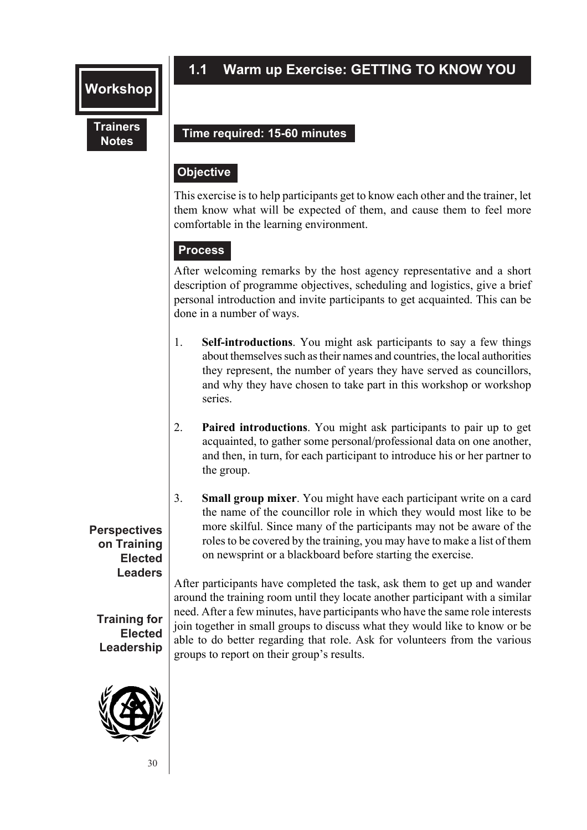## **1.1 Warm up Exercise: GETTING TO KNOW YOU**

#### **Trainers Notes**

#### **Time required: 15-60 minutes**

#### **Objective**

This exercise is to help participants get to know each other and the trainer, let them know what will be expected of them, and cause them to feel more comfortable in the learning environment.

#### **Process**

After welcoming remarks by the host agency representative and a short description of programme objectives, scheduling and logistics, give a brief personal introduction and invite participants to get acquainted. This can be done in a number of ways.

- 1. **Self-introductions**. You might ask participants to say a few things about themselves such as their names and countries, the local authorities they represent, the number of years they have served as councillors, and why they have chosen to take part in this workshop or workshop series.
- 2. **Paired introductions**. You might ask participants to pair up to get acquainted, to gather some personal/professional data on one another, and then, in turn, for each participant to introduce his or her partner to the group.
- 3. **Small group mixer**. You might have each participant write on a card the name of the councillor role in which they would most like to be more skilful. Since many of the participants may not be aware of the roles to be covered by the training, you may have to make a list of them on newsprint or a blackboard before starting the exercise.

After participants have completed the task, ask them to get up and wander around the training room until they locate another participant with a similar need. After a few minutes, have participants who have the same role interests join together in small groups to discuss what they would like to know or be able to do better regarding that role. Ask for volunteers from the various groups to report on their group's results.

#### **Perspectives on Training Elected Leaders**

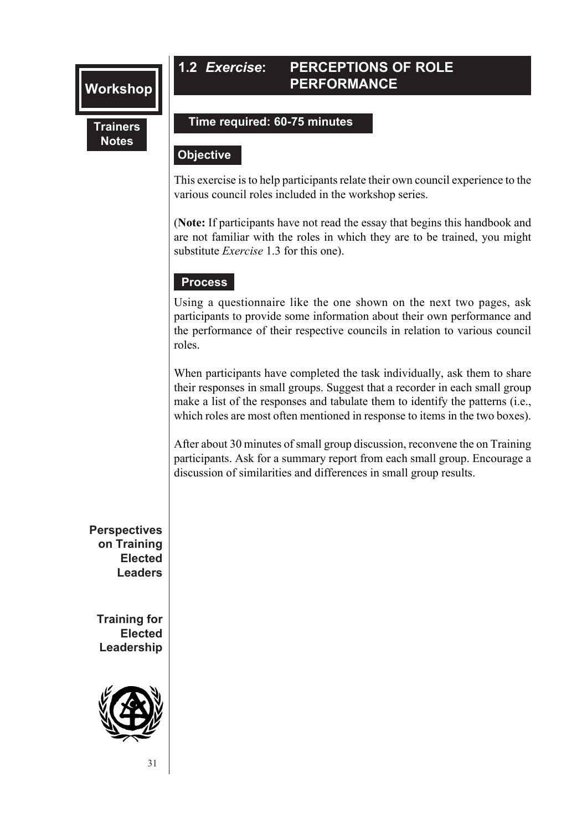#### **1.2** *Exercise***: PERCEPTIONS OF ROLE PERFORMANCE**

#### **Trainers Notes**

#### **Time required: 60-75 minutes**

#### **Objective**

This exercise is to help participants relate their own council experience to the various council roles included in the workshop series.

(**Note:** If participants have not read the essay that begins this handbook and are not familiar with the roles in which they are to be trained, you might substitute *Exercise* 1.3 for this one).

#### **Process**

Using a questionnaire like the one shown on the next two pages, ask participants to provide some information about their own performance and the performance of their respective councils in relation to various council roles.

When participants have completed the task individually, ask them to share their responses in small groups. Suggest that a recorder in each small group make a list of the responses and tabulate them to identify the patterns (i.e., which roles are most often mentioned in response to items in the two boxes).

After about 30 minutes of small group discussion, reconvene the on Training participants. Ask for a summary report from each small group. Encourage a discussion of similarities and differences in small group results.

**Perspectives on Training Elected Leaders**

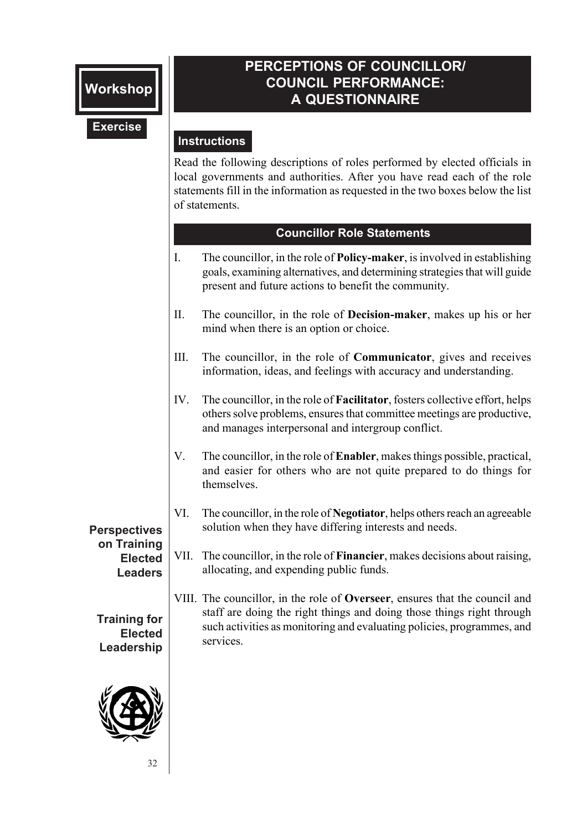#### OV OF COR<br>Literalis **PERCEPTIONS OF COUNCILLOR/ COUNCIL PERFORMANCE: A QUESTIONNAIRE**

#### **Exercise**

#### **Instructions**

local governments and authorities. After you have read each of the role Read the following descriptions of roles performed by elected officials in statements fill in the information as requested in the two boxes below the list of statements.

#### **Councillor Role Statements**

- I. The councillor, in the role of **Policy-maker**, is involved in establishing goals, examining alternatives, and determining strategies that will guide present and future actions to benefit the community.
- II. The councillor, in the role of **Decision-maker**, makes up his or her mind when there is an option or choice.
- III. The councillor, in the role of **Communicator**, gives and receives information, ideas, and feelings with accuracy and understanding.
- IV. The councillor, in the role of **Facilitator**, fosters collective effort, helps others solve problems, ensures that committee meetings are productive, and manages interpersonal and intergroup conflict.
- V. The councillor, in the role of **Enabler**, makes things possible, practical, and easier for others who are not quite prepared to do things for themselves.
- VI. The councillor, in the role of **Negotiator**, helps others reach an agreeable solution when they have differing interests and needs.

## VII. The councillor, in the role of **Financier**, makes decisions about raising, allocating, and expending public funds.

VIII. The councillor, in the role of **Overseer**, ensures that the council and staff are doing the right things and doing those things right through such activities as monitoring and evaluating policies, programmes, and services.

**Perspectives on Training Elected Leaders**

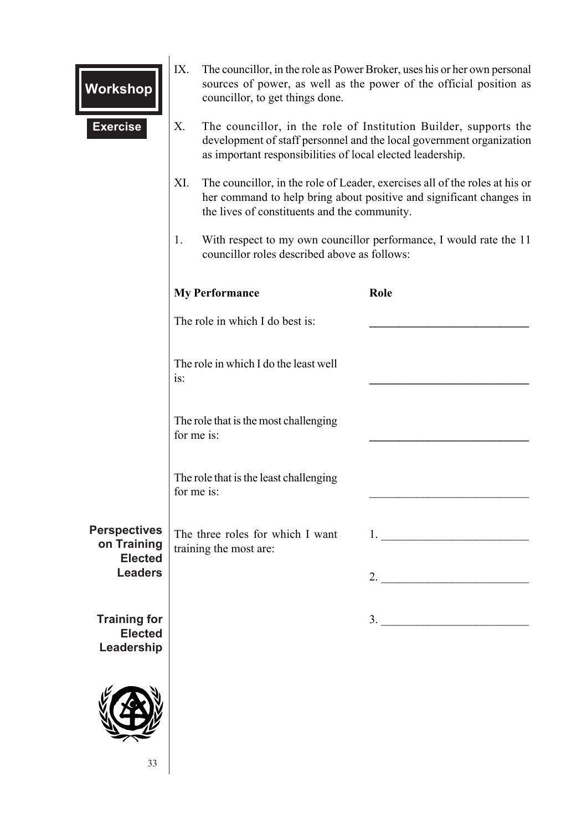| Workshop                                             | IX. | The councillor, in the role as Power Broker, uses his or her own personal<br>sources of power, as well as the power of the official position as<br>councillor, to get things done.                     |  |                                                                                                                                                                                                                                                                                                                                                                                                                                                                        |
|------------------------------------------------------|-----|--------------------------------------------------------------------------------------------------------------------------------------------------------------------------------------------------------|--|------------------------------------------------------------------------------------------------------------------------------------------------------------------------------------------------------------------------------------------------------------------------------------------------------------------------------------------------------------------------------------------------------------------------------------------------------------------------|
| <b>Exercise</b>                                      | X.  | The councillor, in the role of Institution Builder, supports the<br>development of staff personnel and the local government organization<br>as important responsibilities of local elected leadership. |  |                                                                                                                                                                                                                                                                                                                                                                                                                                                                        |
|                                                      | XI. | The councillor, in the role of Leader, exercises all of the roles at his or<br>her command to help bring about positive and significant changes in<br>the lives of constituents and the community.     |  |                                                                                                                                                                                                                                                                                                                                                                                                                                                                        |
|                                                      | 1.  | With respect to my own councillor performance, I would rate the 11<br>councillor roles described above as follows:                                                                                     |  |                                                                                                                                                                                                                                                                                                                                                                                                                                                                        |
|                                                      |     | <b>My Performance</b><br>Role<br>The role in which I do best is:                                                                                                                                       |  |                                                                                                                                                                                                                                                                                                                                                                                                                                                                        |
|                                                      |     |                                                                                                                                                                                                        |  |                                                                                                                                                                                                                                                                                                                                                                                                                                                                        |
|                                                      | is: | The role in which I do the least well                                                                                                                                                                  |  |                                                                                                                                                                                                                                                                                                                                                                                                                                                                        |
|                                                      |     | The role that is the most challenging<br>for me is:                                                                                                                                                    |  |                                                                                                                                                                                                                                                                                                                                                                                                                                                                        |
|                                                      |     | The role that is the least challenging<br>for me is:                                                                                                                                                   |  |                                                                                                                                                                                                                                                                                                                                                                                                                                                                        |
| <b>Perspectives</b><br>on Training<br><b>Elected</b> |     | The three roles for which I want<br>training the most are:                                                                                                                                             |  | $1.$ $\overline{\phantom{a}}$ $\overline{\phantom{a}}$ $\overline{\phantom{a}}$ $\overline{\phantom{a}}$ $\overline{\phantom{a}}$ $\overline{\phantom{a}}$ $\overline{\phantom{a}}$ $\overline{\phantom{a}}$ $\overline{\phantom{a}}$ $\overline{\phantom{a}}$ $\overline{\phantom{a}}$ $\overline{\phantom{a}}$ $\overline{\phantom{a}}$ $\overline{\phantom{a}}$ $\overline{\phantom{a}}$ $\overline{\phantom{a}}$ $\overline{\phantom{a}}$ $\overline{\phantom{a}}$ |
| <b>Leaders</b>                                       |     |                                                                                                                                                                                                        |  | 2. $\qquad \qquad$                                                                                                                                                                                                                                                                                                                                                                                                                                                     |
| <b>Training for</b><br><b>Elected</b><br>Leadership  |     |                                                                                                                                                                                                        |  | $\overline{\phantom{a}}$                                                                                                                                                                                                                                                                                                                                                                                                                                               |
| 33                                                   |     |                                                                                                                                                                                                        |  |                                                                                                                                                                                                                                                                                                                                                                                                                                                                        |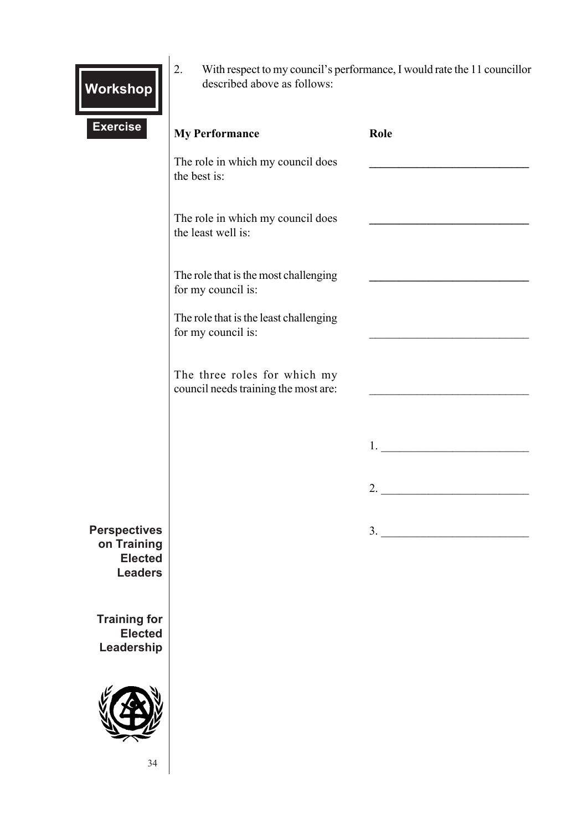| <b>Workshop</b> |  |
|-----------------|--|
|                 |  |

2. With respect to my council's performance, I would rate the 11 councillor described above as follows:

| <b>Exercise</b>                                                        | <b>My Performance</b>                                                | Role                                                                                                                                                                                                                                                                                                                                                                                                                                                                   |
|------------------------------------------------------------------------|----------------------------------------------------------------------|------------------------------------------------------------------------------------------------------------------------------------------------------------------------------------------------------------------------------------------------------------------------------------------------------------------------------------------------------------------------------------------------------------------------------------------------------------------------|
|                                                                        | The role in which my council does<br>the best is:                    |                                                                                                                                                                                                                                                                                                                                                                                                                                                                        |
|                                                                        | The role in which my council does<br>the least well is:              |                                                                                                                                                                                                                                                                                                                                                                                                                                                                        |
|                                                                        | The role that is the most challenging<br>for my council is:          |                                                                                                                                                                                                                                                                                                                                                                                                                                                                        |
|                                                                        | The role that is the least challenging<br>for my council is:         |                                                                                                                                                                                                                                                                                                                                                                                                                                                                        |
|                                                                        | The three roles for which my<br>council needs training the most are: |                                                                                                                                                                                                                                                                                                                                                                                                                                                                        |
|                                                                        |                                                                      | $1.$ $\overline{\phantom{a}}$ $\overline{\phantom{a}}$ $\overline{\phantom{a}}$ $\overline{\phantom{a}}$ $\overline{\phantom{a}}$ $\overline{\phantom{a}}$ $\overline{\phantom{a}}$ $\overline{\phantom{a}}$ $\overline{\phantom{a}}$ $\overline{\phantom{a}}$ $\overline{\phantom{a}}$ $\overline{\phantom{a}}$ $\overline{\phantom{a}}$ $\overline{\phantom{a}}$ $\overline{\phantom{a}}$ $\overline{\phantom{a}}$ $\overline{\phantom{a}}$ $\overline{\phantom{a}}$ |
|                                                                        |                                                                      | 2.                                                                                                                                                                                                                                                                                                                                                                                                                                                                     |
| <b>Perspectives</b><br>on Training<br><b>Elected</b><br><b>Leaders</b> |                                                                      | 3.                                                                                                                                                                                                                                                                                                                                                                                                                                                                     |
| <b>Training for</b><br><b>Elected</b><br>Leadership                    |                                                                      |                                                                                                                                                                                                                                                                                                                                                                                                                                                                        |
|                                                                        |                                                                      |                                                                                                                                                                                                                                                                                                                                                                                                                                                                        |

34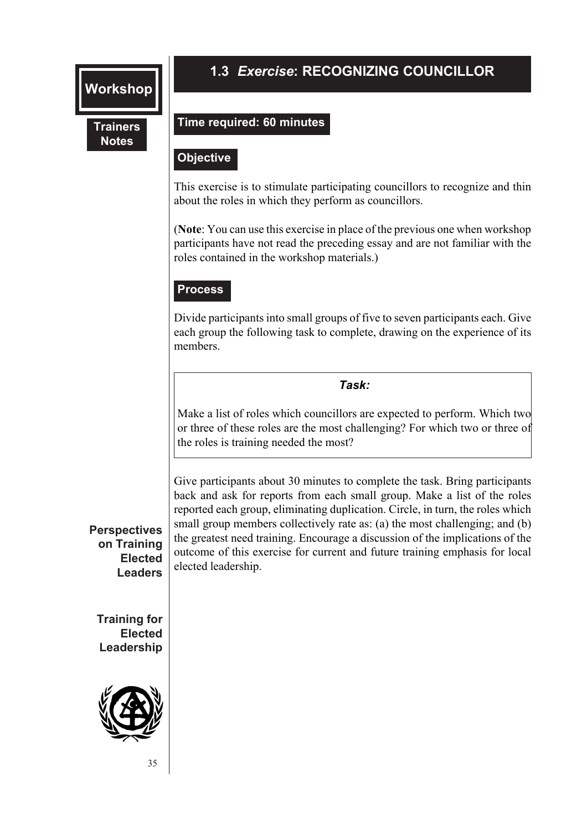#### **Trainers Notes**

## **OVERVIEW 1.3** *Exercise***: RECOGNIZING COUNCILLOR**

#### **Time required: 60 minutes**

#### **Objective Objective**

This exercise is to stimulate participating councillors to recognize and thin about the roles in which they perform as councillors.

(**Note**: You can use this exercise in place of the previous one when workshop participants have not read the preceding essay and are not familiar with the roles contained in the workshop materials.)

#### **Process**

Divide participants into small groups of five to seven participants each. Give each group the following task to complete, drawing on the experience of its members.

#### *Task:*

Make a list of roles which councillors are expected to perform. Which two or three of these roles are the most challenging? For which two or three of the roles is training needed the most?

Give participants about 30 minutes to complete the task. Bring participants back and ask for reports from each small group. Make a list of the roles reported each group, eliminating duplication. Circle, in turn, the roles which small group members collectively rate as: (a) the most challenging; and (b) the greatest need training. Encourage a discussion of the implications of the outcome of this exercise for current and future training emphasis for local elected leadership.

#### **Perspectives on Training Elected Leaders**